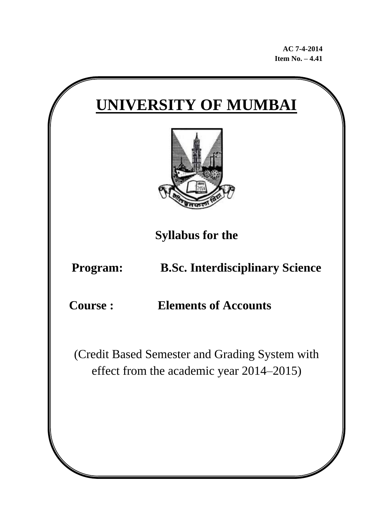**AC 7-4-2014 Item No. – 4.41**

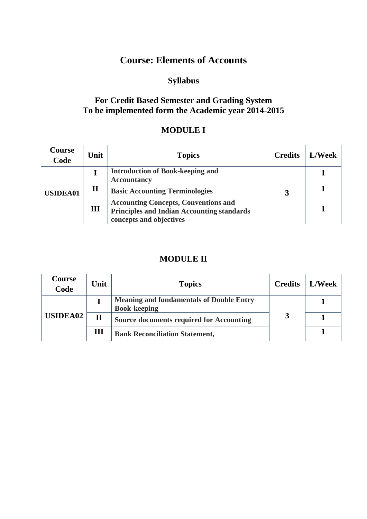# **Course: Elements of Accounts**

## **Syllabus**

#### **For Credit Based Semester and Grading System To be implemented form the Academic year 2014-2015**

#### **MODULE I**

| Course<br>Code  | Unit         | <b>Topics</b>                                                                                                               | <b>Credits</b> | <b>L/Week</b> |
|-----------------|--------------|-----------------------------------------------------------------------------------------------------------------------------|----------------|---------------|
| <b>USIDEA01</b> |              | <b>Introduction of Book-keeping and</b><br><b>Accountancy</b>                                                               |                |               |
|                 | $\mathbf{I}$ | <b>Basic Accounting Terminologies</b>                                                                                       |                |               |
|                 | III          | <b>Accounting Concepts, Conventions and</b><br><b>Principles and Indian Accounting standards</b><br>concepts and objectives |                |               |

### **MODULE II**

| Course<br>Code  | Unit         | <b>Topics</b>                                                          | <b>Credits</b> | <b>L/Week</b> |
|-----------------|--------------|------------------------------------------------------------------------|----------------|---------------|
| <b>USIDEA02</b> |              | <b>Meaning and fundamentals of Double Entry</b><br><b>Book-keeping</b> |                |               |
|                 | $\mathbf{I}$ | <b>Source documents required for Accounting</b>                        |                |               |
|                 | Ш            | <b>Bank Reconciliation Statement,</b>                                  |                |               |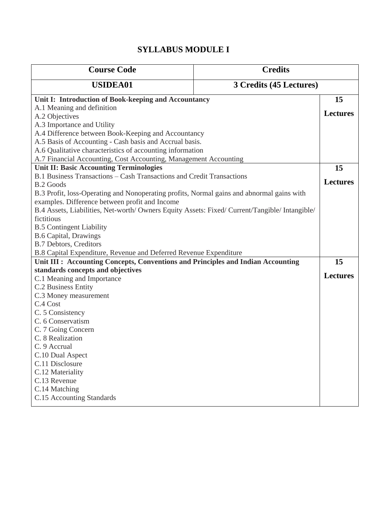### **SYLLABUS MODULE I**

| <b>Course Code</b>                                                                                                 | <b>Credits</b>          |                 |  |  |  |
|--------------------------------------------------------------------------------------------------------------------|-------------------------|-----------------|--|--|--|
| <b>USIDEA01</b>                                                                                                    | 3 Credits (45 Lectures) |                 |  |  |  |
| Unit I: Introduction of Book-keeping and Accountancy                                                               |                         |                 |  |  |  |
| A.1 Meaning and definition                                                                                         |                         |                 |  |  |  |
| A.2 Objectives                                                                                                     |                         | <b>Lectures</b> |  |  |  |
| A.3 Importance and Utility                                                                                         |                         |                 |  |  |  |
| A.4 Difference between Book-Keeping and Accountancy                                                                |                         |                 |  |  |  |
| A.5 Basis of Accounting - Cash basis and Accrual basis.                                                            |                         |                 |  |  |  |
| A.6 Qualitative characteristics of accounting information                                                          |                         |                 |  |  |  |
| A.7 Financial Accounting, Cost Accounting, Management Accounting<br><b>Unit II: Basic Accounting Terminologies</b> |                         | 15              |  |  |  |
| B.1 Business Transactions - Cash Transactions and Credit Transactions                                              |                         |                 |  |  |  |
| <b>B.2 Goods</b>                                                                                                   |                         | <b>Lectures</b> |  |  |  |
| B.3 Profit, loss-Operating and Nonoperating profits, Normal gains and abnormal gains with                          |                         |                 |  |  |  |
| examples. Difference between profit and Income                                                                     |                         |                 |  |  |  |
| B.4 Assets, Liabilities, Net-worth/ Owners Equity Assets: Fixed/ Current/Tangible/ Intangible/                     |                         |                 |  |  |  |
| fictitious                                                                                                         |                         |                 |  |  |  |
| <b>B.5 Contingent Liability</b>                                                                                    |                         |                 |  |  |  |
| <b>B.6 Capital, Drawings</b>                                                                                       |                         |                 |  |  |  |
| <b>B.7 Debtors, Creditors</b>                                                                                      |                         |                 |  |  |  |
| B.8 Capital Expenditure, Revenue and Deferred Revenue Expenditure                                                  |                         |                 |  |  |  |
| Unit III : Accounting Concepts, Conventions and Principles and Indian Accounting                                   |                         | 15              |  |  |  |
| standards concepts and objectives                                                                                  |                         |                 |  |  |  |
| C.1 Meaning and Importance                                                                                         |                         | <b>Lectures</b> |  |  |  |
| C.2 Business Entity                                                                                                |                         |                 |  |  |  |
| C.3 Money measurement                                                                                              |                         |                 |  |  |  |
| C.4 Cost                                                                                                           |                         |                 |  |  |  |
| C. 5 Consistency                                                                                                   |                         |                 |  |  |  |
| C. 6 Conservatism                                                                                                  |                         |                 |  |  |  |
| C. 7 Going Concern                                                                                                 |                         |                 |  |  |  |
| C. 8 Realization                                                                                                   |                         |                 |  |  |  |
| C. 9 Accrual                                                                                                       |                         |                 |  |  |  |
| C.10 Dual Aspect                                                                                                   |                         |                 |  |  |  |
| C.11 Disclosure                                                                                                    |                         |                 |  |  |  |
| C.12 Materiality<br>C.13 Revenue                                                                                   |                         |                 |  |  |  |
| C.14 Matching                                                                                                      |                         |                 |  |  |  |
| C.15 Accounting Standards                                                                                          |                         |                 |  |  |  |
|                                                                                                                    |                         |                 |  |  |  |